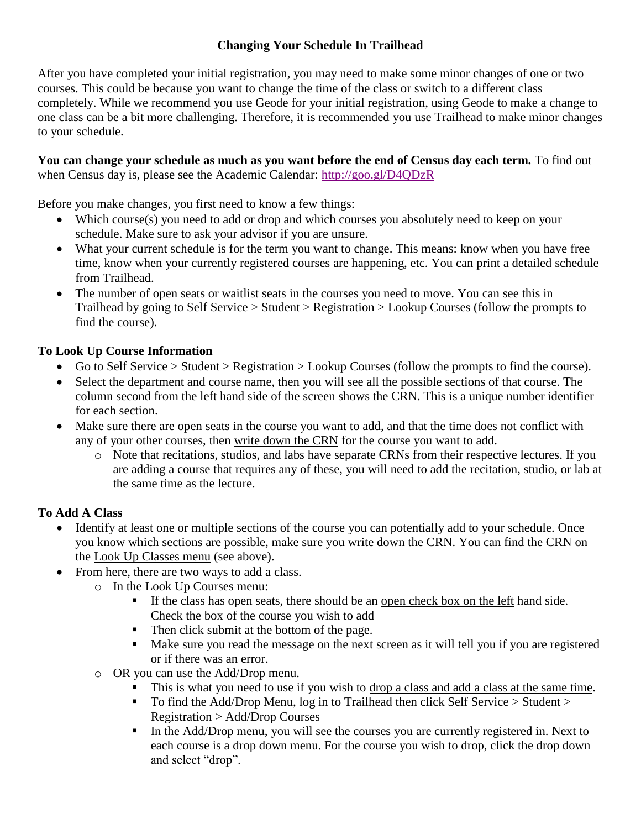### **Changing Your Schedule In Trailhead**

After you have completed your initial registration, you may need to make some minor changes of one or two courses. This could be because you want to change the time of the class or switch to a different class completely. While we recommend you use Geode for your initial registration, using Geode to make a change to one class can be a bit more challenging. Therefore, it is recommended you use Trailhead to make minor changes to your schedule.

#### **You can change your schedule as much as you want before the end of Census day each term.** To find out when Census day is, please see the Academic Calendar:<http://goo.gl/D4QDzR>

Before you make changes, you first need to know a few things:

- Which course(s) you need to add or drop and which courses you absolutely need to keep on your schedule. Make sure to ask your advisor if you are unsure.
- What your current schedule is for the term you want to change. This means: know when you have free time, know when your currently registered courses are happening, etc. You can print a detailed schedule from Trailhead.
- The number of open seats or waitlist seats in the courses you need to move. You can see this in Trailhead by going to Self Service > Student > Registration > Lookup Courses (follow the prompts to find the course).

### **To Look Up Course Information**

- Go to Self Service > Student > Registration > Lookup Courses (follow the prompts to find the course).
- Select the department and course name, then you will see all the possible sections of that course. The column second from the left hand side of the screen shows the CRN. This is a unique number identifier for each section.
- Make sure there are open seats in the course you want to add, and that the time does not conflict with any of your other courses, then write down the CRN for the course you want to add.
	- o Note that recitations, studios, and labs have separate CRNs from their respective lectures. If you are adding a course that requires any of these, you will need to add the recitation, studio, or lab at the same time as the lecture.

### **To Add A Class**

- Identify at least one or multiple sections of the course you can potentially add to your schedule. Once you know which sections are possible, make sure you write down the CRN. You can find the CRN on the Look Up Classes menu (see above).
- From here, there are two ways to add a class.
	- o In the Look Up Courses menu:
		- If the class has open seats, there should be an open check box on the left hand side. Check the box of the course you wish to add
		- Then click submit at the bottom of the page.
		- Make sure you read the message on the next screen as it will tell you if you are registered or if there was an error.
	- o OR you can use the Add/Drop menu.
		- This is what you need to use if you wish to drop a class and add a class at the same time.
		- To find the Add/Drop Menu, log in to Trailhead then click Self Service > Student > Registration > Add/Drop Courses
		- In the Add/Drop menu, you will see the courses you are currently registered in. Next to each course is a drop down menu. For the course you wish to drop, click the drop down and select "drop".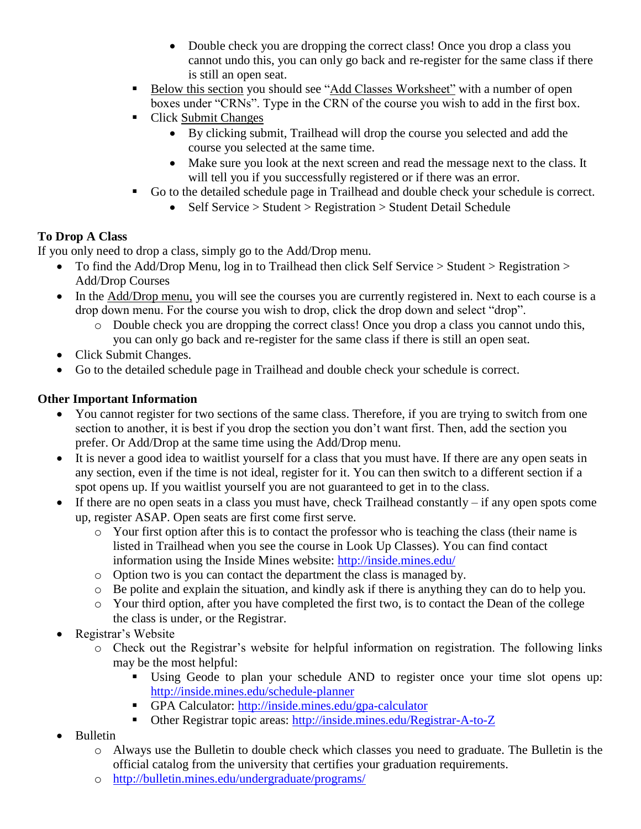- Double check you are dropping the correct class! Once you drop a class you cannot undo this, you can only go back and re-register for the same class if there is still an open seat.
- Below this section you should see "Add Classes Worksheet" with a number of open boxes under "CRNs". Type in the CRN of the course you wish to add in the first box.
- Click Submit Changes
	- By clicking submit, Trailhead will drop the course you selected and add the course you selected at the same time.
	- Make sure you look at the next screen and read the message next to the class. It will tell you if you successfully registered or if there was an error.
- Go to the detailed schedule page in Trailhead and double check your schedule is correct.
	- Self Service > Student > Registration > Student Detail Schedule

# **To Drop A Class**

If you only need to drop a class, simply go to the Add/Drop menu.

- To find the Add/Drop Menu, log in to Trailhead then click Self Service > Student > Registration > Add/Drop Courses
- In the Add/Drop menu, you will see the courses you are currently registered in. Next to each course is a drop down menu. For the course you wish to drop, click the drop down and select "drop".
	- o Double check you are dropping the correct class! Once you drop a class you cannot undo this, you can only go back and re-register for the same class if there is still an open seat.
- Click Submit Changes.
- Go to the detailed schedule page in Trailhead and double check your schedule is correct.

# **Other Important Information**

- You cannot register for two sections of the same class. Therefore, if you are trying to switch from one section to another, it is best if you drop the section you don't want first. Then, add the section you prefer. Or Add/Drop at the same time using the Add/Drop menu.
- It is never a good idea to waitlist yourself for a class that you must have. If there are any open seats in any section, even if the time is not ideal, register for it. You can then switch to a different section if a spot opens up. If you waitlist yourself you are not guaranteed to get in to the class.
- If there are no open seats in a class you must have, check Trailhead constantly  $-$  if any open spots come up, register ASAP. Open seats are first come first serve.
	- o Your first option after this is to contact the professor who is teaching the class (their name is listed in Trailhead when you see the course in Look Up Classes). You can find contact information using the Inside Mines website:<http://inside.mines.edu/>
	- o Option two is you can contact the department the class is managed by.
	- o Be polite and explain the situation, and kindly ask if there is anything they can do to help you.
	- o Your third option, after you have completed the first two, is to contact the Dean of the college the class is under, or the Registrar.
- Registrar's Website
	- o Check out the Registrar's website for helpful information on registration. The following links may be the most helpful:
		- Using Geode to plan your schedule AND to register once your time slot opens up: <http://inside.mines.edu/schedule-planner>
		- GPA Calculator:<http://inside.mines.edu/gpa-calculator>
		- Other Registrar topic areas:<http://inside.mines.edu/Registrar-A-to-Z>
- Bulletin
	- o Always use the Bulletin to double check which classes you need to graduate. The Bulletin is the official catalog from the university that certifies your graduation requirements.
	- o <http://bulletin.mines.edu/undergraduate/programs/>